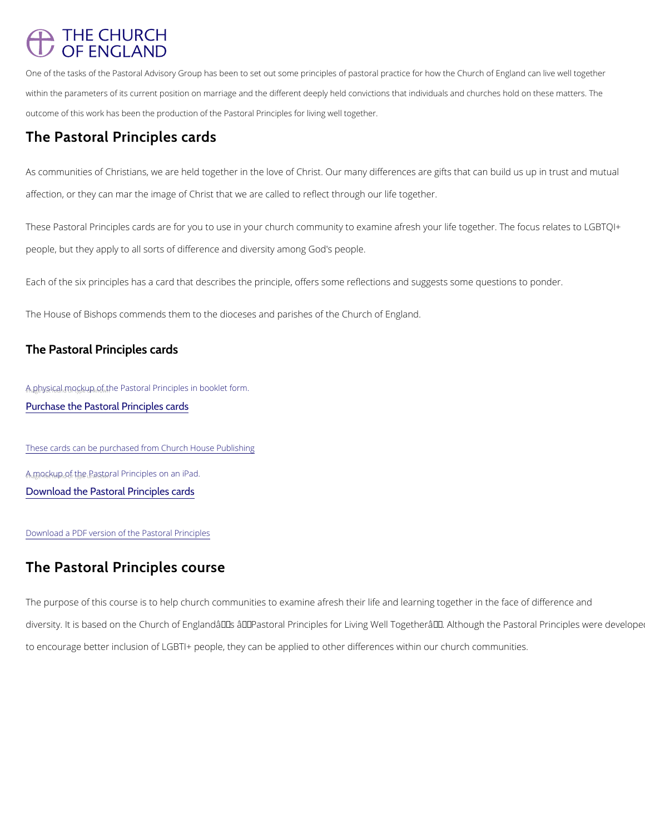# **THE CHURCH** OF ENGLAND

One of the tasks of the Pastoral Advisory Group has been to set out some principles of pastoral practice within the parameters of its current position on marriage and the different deeply held convictions that i outcome of this work has been the production of the Pastoral Principles for living well together.

## The Pastoral Principles cards

As communities of Christians, we are held together in the love of Christ. Our many difference affection, or they can mar the image of Christ that we are called to reflect through our life to

These Pastoral Principles cards are for you to use in your church community to examine afre people, but they apply to all sorts of difference and diversity among God's people.

Each of the six principles has a card that describes the principle, offers some reflections an

 $A_{n}$ a $B$ d $y$ sif $G$ al mo $C_{n}$ kup<sub>kn</sub>o $f_{n}$ the Pastoral Principles in booklet form. Purchase the Pastoral Principles cards

The House of Bishops commends them to the dioceses and parishes of the Church of England.

The Pastoral Principles cards

These cards can be purchased from Church House Publishing  $A_n$ a $m$ o<sub>n</sub> $G$ <sub>k</sub>up<sub>no</sub>o $f$ <sub>r</sub> the <sub>u</sub>ngstoral Principles on an iPad. [Download the Pastoral Principles cards](https://www.churchofengland.org/sites/default/files/2019-05/Pastoral Principle Cards May 2019.pdf)

Download a PDF version of the Pastoral Principles

# The Pastoral Principles course

The purpose of this course is to help church communities to examine afresh their life and lea

diversity. It is based on the Church of England's †Pastoral Principles for Living Well T

to encourage better inclusion of LGBTI+ people, they can be applied to other differences wit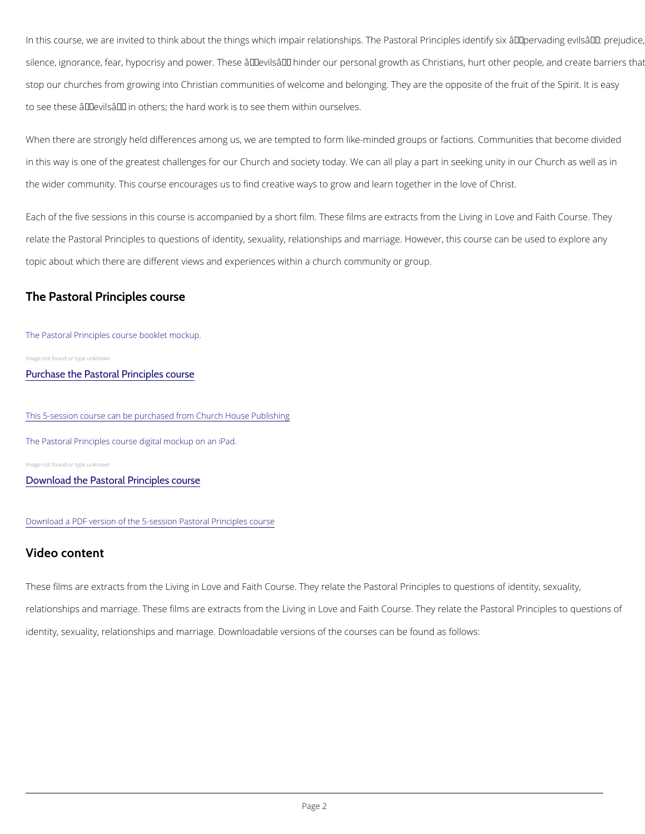In this course, we are invited to think about the things which impair relationships. The Pasto silence, ignorance, fear, hypocrisy and power. These â€~evils' hinder our personal growt stop our churches from growing into Christian communities of welcome and belonging. They a to see these  $\hat{a} \in \tilde{a}$  evils $\hat{a} \in \tilde{a}$  in others; the hard work is to see them within ourselves.

When there are strongly held differences among us, we are tempted to form like-minded grou in this way is one of the greatest challenges for our Church and society today. We can all pl the wider community. This course encourages us to find creative ways to grow and learn toge

Each of the five sessions in this course is accompanied by a short film. These films are extr relate the Pastoral Principles to questions of identity, sexuality, relationships and marriage. topic about which there are different views and experiences within a church community or gro

## The Pastoral Principles course

#### The Pastoral Principles course booklet mockup.

Image not found or type unknown

#### [Purchase the Pastoral Principles course](https://www.chpublishing.co.uk/features/pastoral-principles)

#### This 5-session course can be purchased from Church House Publishing

The Pastoral Principles course digital mockup on an iPad.

Image not found or type unknown

[Download the Pastoral Principles course](https://www.churchofengland.org/media/23691)

#### Download a PDF version of the 5-session Pastoral Principles course

### Video content

These films are extracts from the Living in Love and Faith Course. They relate the Pastoral I relationships and marriage. These films are extracts from the Living in Love and Faith Cours

identity, sexuality, relationships and marriage. Downloadable versions of the courses can be